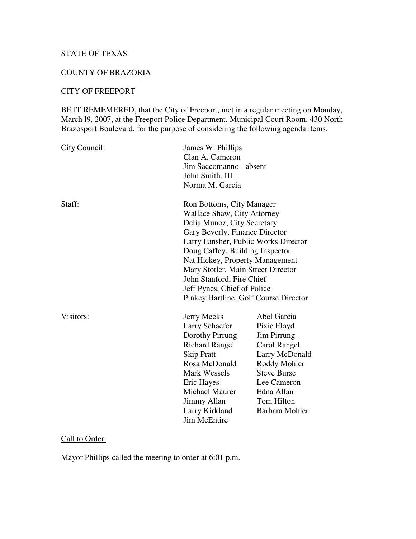# STATE OF TEXAS

## COUNTY OF BRAZORIA

## CITY OF FREEPORT

BE IT REMEMERED, that the City of Freeport, met in a regular meeting on Monday, March l9, 2007, at the Freeport Police Department, Municipal Court Room, 430 North Brazosport Boulevard, for the purpose of considering the following agenda items:

| City Council: | James W. Phillips<br>Clan A. Cameron<br>Jim Saccomanno - absent<br>John Smith, III<br>Norma M. Garcia                                                                                                                                                                                                                                                                                     |                                                                                                                                                                                       |
|---------------|-------------------------------------------------------------------------------------------------------------------------------------------------------------------------------------------------------------------------------------------------------------------------------------------------------------------------------------------------------------------------------------------|---------------------------------------------------------------------------------------------------------------------------------------------------------------------------------------|
| Staff:        | Ron Bottoms, City Manager<br><b>Wallace Shaw, City Attorney</b><br>Delia Munoz, City Secretary<br>Gary Beverly, Finance Director<br>Larry Fansher, Public Works Director<br>Doug Caffey, Building Inspector<br>Nat Hickey, Property Management<br>Mary Stotler, Main Street Director<br>John Stanford, Fire Chief<br>Jeff Pynes, Chief of Police<br>Pinkey Hartline, Golf Course Director |                                                                                                                                                                                       |
| Visitors:     | <b>Jerry Meeks</b><br><b>Larry Schaefer</b><br>Dorothy Pirrung<br><b>Richard Rangel</b><br><b>Skip Pratt</b><br>Rosa McDonald<br><b>Mark Wessels</b><br>Eric Hayes<br>Michael Maurer<br><b>Jimmy Allan</b><br>Larry Kirkland<br><b>Jim McEntire</b>                                                                                                                                       | Abel Garcia<br>Pixie Floyd<br><b>Jim Pirrung</b><br>Carol Rangel<br>Larry McDonald<br>Roddy Mohler<br><b>Steve Burse</b><br>Lee Cameron<br>Edna Allan<br>Tom Hilton<br>Barbara Mohler |

## Call to Order.

Mayor Phillips called the meeting to order at 6:01 p.m.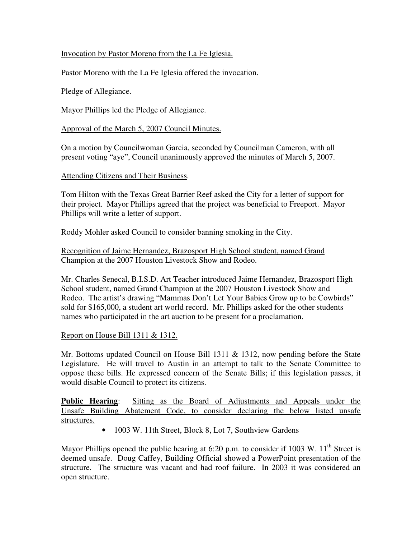## Invocation by Pastor Moreno from the La Fe Iglesia.

Pastor Moreno with the La Fe Iglesia offered the invocation.

### Pledge of Allegiance.

Mayor Phillips led the Pledge of Allegiance.

### Approval of the March 5, 2007 Council Minutes.

On a motion by Councilwoman Garcia, seconded by Councilman Cameron, with all present voting "aye", Council unanimously approved the minutes of March 5, 2007.

#### Attending Citizens and Their Business.

Tom Hilton with the Texas Great Barrier Reef asked the City for a letter of support for their project. Mayor Phillips agreed that the project was beneficial to Freeport. Mayor Phillips will write a letter of support.

Roddy Mohler asked Council to consider banning smoking in the City.

## Recognition of Jaime Hernandez, Brazosport High School student, named Grand Champion at the 2007 Houston Livestock Show and Rodeo.

Mr. Charles Senecal, B.I.S.D. Art Teacher introduced Jaime Hernandez, Brazosport High School student, named Grand Champion at the 2007 Houston Livestock Show and Rodeo. The artist's drawing "Mammas Don't Let Your Babies Grow up to be Cowbirds" sold for \$165,000, a student art world record. Mr. Phillips asked for the other students names who participated in the art auction to be present for a proclamation.

### Report on House Bill 1311 & 1312.

Mr. Bottoms updated Council on House Bill 1311  $\&$  1312, now pending before the State Legislature. He will travel to Austin in an attempt to talk to the Senate Committee to oppose these bills. He expressed concern of the Senate Bills; if this legislation passes, it would disable Council to protect its citizens.

**Public Hearing**: Sitting as the Board of Adjustments and Appeals under the Unsafe Building Abatement Code, to consider declaring the below listed unsafe structures.

• 1003 W. 11th Street, Block 8, Lot 7, Southview Gardens

Mayor Phillips opened the public hearing at 6:20 p.m. to consider if 1003 W.  $11<sup>th</sup>$  Street is deemed unsafe. Doug Caffey, Building Official showed a PowerPoint presentation of the structure. The structure was vacant and had roof failure. In 2003 it was considered an open structure.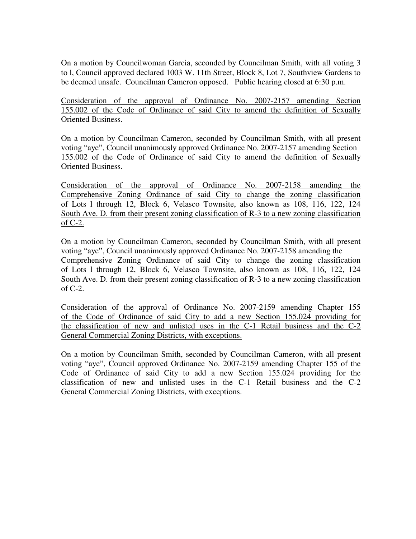On a motion by Councilwoman Garcia, seconded by Councilman Smith, with all voting 3 to l, Council approved declared 1003 W. 11th Street, Block 8, Lot 7, Southview Gardens to be deemed unsafe. Councilman Cameron opposed. Public hearing closed at 6:30 p.m.

Consideration of the approval of Ordinance No. 2007-2157 amending Section 155.002 of the Code of Ordinance of said City to amend the definition of Sexually Oriented Business.

On a motion by Councilman Cameron, seconded by Councilman Smith, with all present voting "aye", Council unanimously approved Ordinance No. 2007-2157 amending Section 155.002 of the Code of Ordinance of said City to amend the definition of Sexually Oriented Business.

Consideration of the approval of Ordinance No. 2007-2158 amending the Comprehensive Zoning Ordinance of said City to change the zoning classification of Lots l through 12, Block 6, Velasco Townsite, also known as 108, 116, 122, 124 South Ave. D. from their present zoning classification of R-3 to a new zoning classification of C-2.

On a motion by Councilman Cameron, seconded by Councilman Smith, with all present voting "aye", Council unanimously approved Ordinance No. 2007-2158 amending the Comprehensive Zoning Ordinance of said City to change the zoning classification of Lots l through 12, Block 6, Velasco Townsite, also known as 108, 116, 122, 124 South Ave. D. from their present zoning classification of R-3 to a new zoning classification of C-2.

Consideration of the approval of Ordinance No. 2007-2159 amending Chapter 155 of the Code of Ordinance of said City to add a new Section 155.024 providing for the classification of new and unlisted uses in the C-1 Retail business and the C-2 General Commercial Zoning Districts, with exceptions.

On a motion by Councilman Smith, seconded by Councilman Cameron, with all present voting "aye", Council approved Ordinance No. 2007-2159 amending Chapter 155 of the Code of Ordinance of said City to add a new Section 155.024 providing for the classification of new and unlisted uses in the C-1 Retail business and the C-2 General Commercial Zoning Districts, with exceptions.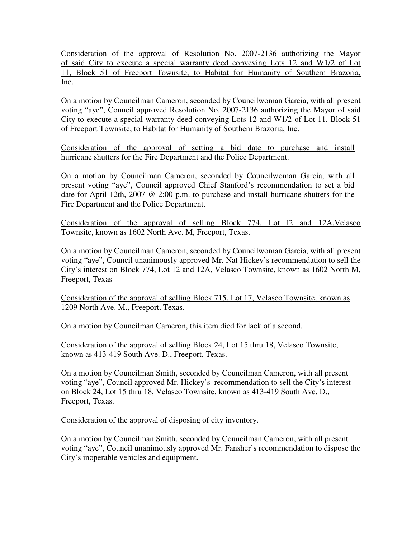Consideration of the approval of Resolution No. 2007-2136 authorizing the Mayor of said City to execute a special warranty deed conveying Lots 12 and W1/2 of Lot 11, Block 51 of Freeport Townsite, to Habitat for Humanity of Southern Brazoria, Inc.

On a motion by Councilman Cameron, seconded by Councilwoman Garcia, with all present voting "aye", Council approved Resolution No. 2007-2136 authorizing the Mayor of said City to execute a special warranty deed conveying Lots 12 and W1/2 of Lot 11, Block 51 of Freeport Townsite, to Habitat for Humanity of Southern Brazoria, Inc.

Consideration of the approval of setting a bid date to purchase and install hurricane shutters for the Fire Department and the Police Department.

On a motion by Councilman Cameron, seconded by Councilwoman Garcia, with all present voting "aye", Council approved Chief Stanford's recommendation to set a bid date for April 12th, 2007 @ 2:00 p.m. to purchase and install hurricane shutters for the Fire Department and the Police Department.

Consideration of the approval of selling Block 774, Lot l2 and 12A,Velasco Townsite, known as 1602 North Ave. M, Freeport, Texas.

On a motion by Councilman Cameron, seconded by Councilwoman Garcia, with all present voting "aye", Council unanimously approved Mr. Nat Hickey's recommendation to sell the City's interest on Block 774, Lot 12 and 12A, Velasco Townsite, known as 1602 North M, Freeport, Texas

Consideration of the approval of selling Block 715, Lot 17, Velasco Townsite, known as 1209 North Ave. M., Freeport, Texas.

On a motion by Councilman Cameron, this item died for lack of a second.

Consideration of the approval of selling Block 24, Lot 15 thru 18, Velasco Townsite, known as 413-419 South Ave. D., Freeport, Texas.

On a motion by Councilman Smith, seconded by Councilman Cameron, with all present voting "aye", Council approved Mr. Hickey's recommendation to sell the City's interest on Block 24, Lot 15 thru 18, Velasco Townsite, known as 413-419 South Ave. D., Freeport, Texas.

Consideration of the approval of disposing of city inventory.

On a motion by Councilman Smith, seconded by Councilman Cameron, with all present voting "aye", Council unanimously approved Mr. Fansher's recommendation to dispose the City's inoperable vehicles and equipment.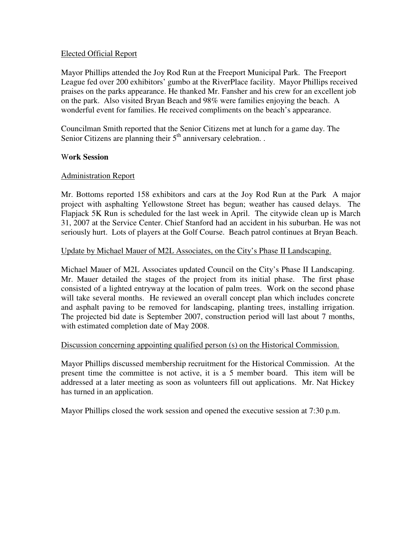### Elected Official Report

Mayor Phillips attended the Joy Rod Run at the Freeport Municipal Park. The Freeport League fed over 200 exhibitors' gumbo at the RiverPlace facility. Mayor Phillips received praises on the parks appearance. He thanked Mr. Fansher and his crew for an excellent job on the park. Also visited Bryan Beach and 98% were families enjoying the beach. A wonderful event for families. He received compliments on the beach's appearance.

Councilman Smith reported that the Senior Citizens met at lunch for a game day. The Senior Citizens are planning their  $5<sup>th</sup>$  anniversary celebration. .

#### W**ork Session**

#### Administration Report

Mr. Bottoms reported 158 exhibitors and cars at the Joy Rod Run at the Park A major project with asphalting Yellowstone Street has begun; weather has caused delays. The Flapjack 5K Run is scheduled for the last week in April. The citywide clean up is March 31, 2007 at the Service Center. Chief Stanford had an accident in his suburban. He was not seriously hurt. Lots of players at the Golf Course. Beach patrol continues at Bryan Beach.

#### Update by Michael Mauer of M2L Associates, on the City's Phase II Landscaping.

Michael Mauer of M2L Associates updated Council on the City's Phase II Landscaping. Mr. Mauer detailed the stages of the project from its initial phase. The first phase consisted of a lighted entryway at the location of palm trees. Work on the second phase will take several months. He reviewed an overall concept plan which includes concrete and asphalt paving to be removed for landscaping, planting trees, installing irrigation. The projected bid date is September 2007, construction period will last about 7 months, with estimated completion date of May 2008.

#### Discussion concerning appointing qualified person (s) on the Historical Commission.

Mayor Phillips discussed membership recruitment for the Historical Commission. At the present time the committee is not active, it is a 5 member board. This item will be addressed at a later meeting as soon as volunteers fill out applications. Mr. Nat Hickey has turned in an application.

Mayor Phillips closed the work session and opened the executive session at 7:30 p.m.